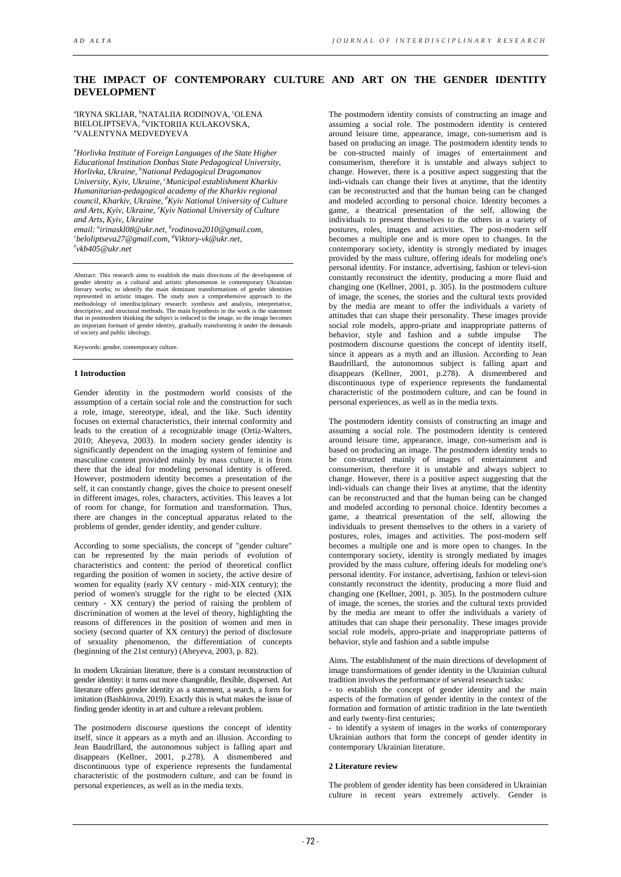# **THE IMPACT OF CONTEMPORARY CULTURE AND ART ON THE GENDER IDENTITY DEVELOPMENT**

<sup>a</sup>IRYNA SKLIAR, <sup>b</sup>NATALIIA RODINOVA, ʿOLENA BIELOLIPTSEVA, <sup>d</sup>viktoriia kulakovska,<br>"Valentyna medvedyeva VALENTYNA MEDVEDYEVA

*a Horlivka Institute of Foreign Languages of the State Higher Educational Institution Donbas State Pedagogical University, Horlivka, Ukraine, b National Pedagogical Dragomanov University, Kyiv, Ukraine, <sup>c</sup> Municipal establishment Kharkiv Humanitarian-pedagogical academy of the Kharkiv regional council, Kharkiv, Ukraine, <sup>d</sup> Kyiv National University of Culture and Arts, Kyiv, Ukraine, <sup>e</sup> Kyiv National University of Culture and Arts, Kyiv, Ukraine*

*email: a [irinaskl08@ukr.net,](mailto:airinaskl08@ukr.net) b [rodinova2010@gmail.com,](mailto:brodinova2010@gmail.com) c [beloliptseva27@gmail.com,](mailto:cbeloliptseva27@gmail.com) d [Viktory-vk@ukr.net,](mailto:dViktory-vk@ukr.net) e [vkb405@ukr.net](mailto:vkb405@ukr.net)*

Abstract: This research aims to establish the main directions of the development of gender identity as a cultural and artistic phenomenon in contemporary Ukrainian literary works; to identify the main dominant transformations of gender identities represented in artistic images. The study uses a comprehensive approach to the methodology of interdisciplinary research: synthesis and analysis, interpretative, descriptive, and structural methods. The main hypothesis in of society and public ideology.

Keywords: gender, contemporary culture.

#### **1 Introduction**

Gender identity in the postmodern world consists of the assumption of a certain social role and the construction for such a role, image, stereotype, ideal, and the like. Such identity focuses on external characteristics, their internal conformity and leads to the creation of a recognizable image (Ortiz-Walters, 2010; Aheyeva, 2003). In modern society gender identity is significantly dependent on the imaging system of feminine and masculine content provided mainly by mass culture, it is from there that the ideal for modeling personal identity is offered. However, postmodern identity becomes a presentation of the self, it can constantly change, gives the choice to present oneself in different images, roles, characters, activities. This leaves a lot of room for change, for formation and transformation. Thus, there are changes in the conceptual apparatus related to the problems of gender, gender identity, and gender culture.

According to some specialists, the concept of "gender culture" can be represented by the main periods of evolution of characteristics and content: the period of theoretical conflict regarding the position of women in society, the active desire of women for equality (early XV century - mid-XIX century); the period of women's struggle for the right to be elected (XIX century - XX century) the period of raising the problem of discrimination of women at the level of theory, highlighting the reasons of differences in the position of women and men in society (second quarter of XX century) the period of disclosure of sexuality phenomenon, the differentiation of concepts (beginning of the 21st century) (Aheyeva, 2003, p. 82).

In modern Ukrainian literature, there is a constant reconstruction of gender identity: it turns out more changeable, flexible, dispersed. Art literature offers gender identity as a statement, a search, a form for imitation (Bashkirova, 2019). Exactly this is what makes the issue of finding gender identity in art and culture a relevant problem.

The postmodern discourse questions the concept of identity itself, since it appears as a myth and an illusion. According to Jean Baudrillard, the autonomous subject is falling apart and disappears (Kellner, 2001, p.278). A dismembered and discontinuous type of experience represents the fundamental characteristic of the postmodern culture, and can be found in personal experiences, as well as in the media texts.

The postmodern identity consists of constructing an image and assuming a social role. The postmodern identity is centered around leisure time, appearance, image, con-sumerism and is based on producing an image. The postmodern identity tends to be con-structed mainly of images of entertainment and consumerism, therefore it is unstable and always subject to change. However, there is a positive aspect suggesting that the indi-viduals can change their lives at anytime, that the identity can be reconstructed and that the human being can be changed and modeled according to personal choice. Identity becomes a game, a theatrical presentation of the self, allowing the individuals to present themselves to the others in a variety of postures, roles, images and activities. The post-modern self becomes a multiple one and is more open to changes. In the contemporary society, identity is strongly mediated by images provided by the mass culture, offering ideals for modeling one's personal identity. For instance, advertising, fashion or televi-sion constantly reconstruct the identity, producing a more fluid and changing one (Kellner, 2001, p. 305). In the postmodern culture of image, the scenes, the stories and the cultural texts provided by the media are meant to offer the individuals a variety of attitudes that can shape their personality. These images provide social role models, appro-priate and inappropriate patterns of behavior, style and fashion and a subtle impulse The postmodern discourse questions the concept of identity itself, since it appears as a myth and an illusion. According to Jean Baudrillard, the autonomous subject is falling apart and disappears (Kellner, 2001, p.278). A dismembered and discontinuous type of experience represents the fundamental characteristic of the postmodern culture, and can be found in personal experiences, as well as in the media texts.

The postmodern identity consists of constructing an image and assuming a social role. The postmodern identity is centered around leisure time, appearance, image, con-sumerism and is based on producing an image. The postmodern identity tends to be con-structed mainly of images of entertainment and consumerism, therefore it is unstable and always subject to change. However, there is a positive aspect suggesting that the indi-viduals can change their lives at anytime, that the identity can be reconstructed and that the human being can be changed and modeled according to personal choice. Identity becomes a game, a theatrical presentation of the self, allowing the individuals to present themselves to the others in a variety of postures, roles, images and activities. The post-modern self becomes a multiple one and is more open to changes. In the contemporary society, identity is strongly mediated by images provided by the mass culture, offering ideals for modeling one's personal identity. For instance, advertising, fashion or televi-sion constantly reconstruct the identity, producing a more fluid and changing one (Kellner, 2001, p. 305). In the postmodern culture of image, the scenes, the stories and the cultural texts provided by the media are meant to offer the individuals a variety of attitudes that can shape their personality. These images provide social role models, appro-priate and inappropriate patterns of behavior, style and fashion and a subtle impulse

Aims. The establishment of the main directions of development of image transformations of gender identity in the Ukrainian cultural tradition involves the performance of several research tasks:

- to establish the concept of gender identity and the main aspects of the formation of gender identity in the context of the formation and formation of artistic tradition in the late twentieth and early twenty-first centuries;

- to identify a system of images in the works of contemporary Ukrainian authors that form the concept of gender identity in contemporary Ukrainian literature.

## **2 Literature review**

The problem of gender identity has been considered in Ukrainian culture in recent years extremely actively. Gender is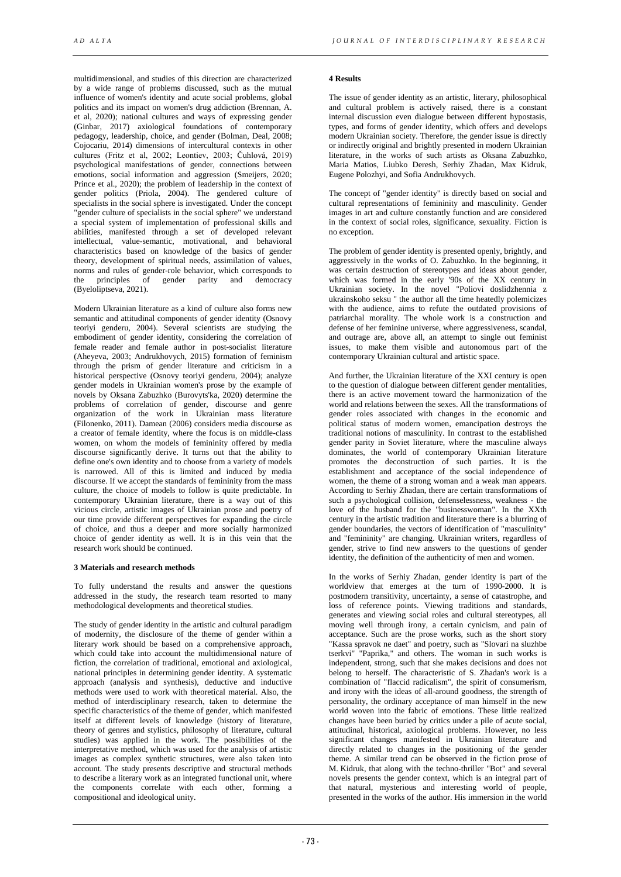multidimensional, and studies of this direction are characterized by a wide range of problems discussed, such as the mutual influence of women's identity and acute social problems, global politics and its impact on women's drug addiction (Brennan, A. et al, 2020); national cultures and ways of expressing gender (Ginbar, 2017) axiological foundations of contemporary pedagogy, leadership, choice, and gender (Bolman, Deal, 2008; Cojocariu, 2014) dimensions of intercultural contexts in other cultures (Fritz et al, 2002; Leontiev, 2003; Čuhlová, 2019) psychological manifestations of gender, connections between emotions, social information and aggression (Smeijers, 2020; Prince et al., 2020); the problem of leadership in the context of gender politics (Priola, 2004). The gendered culture of specialists in the social sphere is investigated. Under the concept "gender culture of specialists in the social sphere" we understand a special system of implementation of professional skills and abilities, manifested through a set of developed relevant intellectual, value-semantic, motivational, and behavioral characteristics based on knowledge of the basics of gender theory, development of spiritual needs, assimilation of values, norms and rules of gender-role behavior, which corresponds to the principles of gender parity and democracy the principles of (Byeloliptseva, 2021).

Modern Ukrainian literature as a kind of culture also forms new semantic and attitudinal components of gender identity (Osnovy teoriyi genderu, 2004). Several scientists are studying the embodiment of gender identity, considering the correlation of female reader and female author in post-socialist literature (Aheyeva, 2003; Andrukhovych, 2015) formation of feminism through the prism of gender literature and criticism in a historical perspective (Osnovy teoriyi genderu, 2004); analyze gender models in Ukrainian women's prose by the example of novels by Oksana Zabuzhko (Burovyts'ka, 2020) determine the problems of correlation of gender, discourse and genre organization of the work in Ukrainian mass literature (Filonenko, 2011). Damean (2006) considers media discourse as a creator of female identity, where the focus is on middle-class women, on whom the models of femininity offered by media discourse significantly derive. It turns out that the ability to define one's own identity and to choose from a variety of models is narrowed. All of this is limited and induced by media discourse. If we accept the standards of femininity from the mass culture, the choice of models to follow is quite predictable. In contemporary Ukrainian literature, there is a way out of this vicious circle, artistic images of Ukrainian prose and poetry of our time provide different perspectives for expanding the circle of choice, and thus a deeper and more socially harmonized choice of gender identity as well. It is in this vein that the research work should be continued.

#### **3 Materials and research methods**

To fully understand the results and answer the questions addressed in the study, the research team resorted to many methodological developments and theoretical studies.

The study of gender identity in the artistic and cultural paradigm of modernity, the disclosure of the theme of gender within a literary work should be based on a comprehensive approach, which could take into account the multidimensional nature of fiction, the correlation of traditional, emotional and axiological, national principles in determining gender identity. A systematic approach (analysis and synthesis), deductive and inductive methods were used to work with theoretical material. Also, the method of interdisciplinary research, taken to determine the specific characteristics of the theme of gender, which manifested itself at different levels of knowledge (history of literature, theory of genres and stylistics, philosophy of literature, cultural studies) was applied in the work. The possibilities of the interpretative method, which was used for the analysis of artistic images as complex synthetic structures, were also taken into account. The study presents descriptive and structural methods to describe a literary work as an integrated functional unit, where the components correlate with each other, forming a compositional and ideological unity.

## **4 Results**

The issue of gender identity as an artistic, literary, philosophical and cultural problem is actively raised, there is a constant internal discussion even dialogue between different hypostasis, types, and forms of gender identity, which offers and develops modern Ukrainian society. Therefore, the gender issue is directly or indirectly original and brightly presented in modern Ukrainian literature, in the works of such artists as Oksana Zabuzhko, Maria Matios, Liubko Deresh, Serhiy Zhadan, Max Kidruk, Eugene Polozhyi, and Sofia Andrukhovych.

The concept of "gender identity" is directly based on social and cultural representations of femininity and masculinity. Gender images in art and culture constantly function and are considered in the context of social roles, significance, sexuality. Fiction is no exception.

The problem of gender identity is presented openly, brightly, and aggressively in the works of O. Zabuzhko. In the beginning, it was certain destruction of stereotypes and ideas about gender, which was formed in the early '90s of the XX century in Ukrainian society. In the novel "Poliovi doslidzhennia z ukrainskoho seksu " the author all the time heatedly polemicizes with the audience, aims to refute the outdated provisions of patriarchal morality. The whole work is a construction and defense of her feminine universe, where aggressiveness, scandal, and outrage are, above all, an attempt to single out feminist issues, to make them visible and autonomous part of the contemporary Ukrainian cultural and artistic space.

And further, the Ukrainian literature of the XXI century is open to the question of dialogue between different gender mentalities, there is an active movement toward the harmonization of the world and relations between the sexes. All the transformations of gender roles associated with changes in the economic and political status of modern women, emancipation destroys the traditional notions of masculinity. In contrast to the established gender parity in Soviet literature, where the masculine always dominates, the world of contemporary Ukrainian literature promotes the deconstruction of such parties. It is the establishment and acceptance of the social independence of women, the theme of a strong woman and a weak man appears. According to Serhiy Zhadan, there are certain transformations of such a psychological collision, defenselessness, weakness - the love of the husband for the "businesswoman". In the XXth century in the artistic tradition and literature there is a blurring of gender boundaries, the vectors of identification of "masculinity" and "femininity" are changing. Ukrainian writers, regardless of gender, strive to find new answers to the questions of gender identity, the definition of the authenticity of men and women.

In the works of Serhiy Zhadan, gender identity is part of the worldview that emerges at the turn of 1990-2000. It is postmodern transitivity, uncertainty, a sense of catastrophe, and loss of reference points. Viewing traditions and standards, generates and viewing social roles and cultural stereotypes, all moving well through irony, a certain cynicism, and pain of acceptance. Such are the prose works, such as the short story "Kassa spravok ne daet" and poetry, such as "Slovari na sluzhbe tserkvi" "Paprika," and others. The woman in such works is independent, strong, such that she makes decisions and does not belong to herself. The characteristic of S. Zhadan's work is a combination of "flaccid radicalism", the spirit of consumerism, and irony with the ideas of all-around goodness, the strength of personality, the ordinary acceptance of man himself in the new world woven into the fabric of emotions. These little realized changes have been buried by critics under a pile of acute social, attitudinal, historical, axiological problems. However, no less significant changes manifested in Ukrainian literature and directly related to changes in the positioning of the gender theme. A similar trend can be observed in the fiction prose of M. Kidruk, that along with the techno-thriller "Bot" and several novels presents the gender context, which is an integral part of that natural, mysterious and interesting world of people, presented in the works of the author. His immersion in the world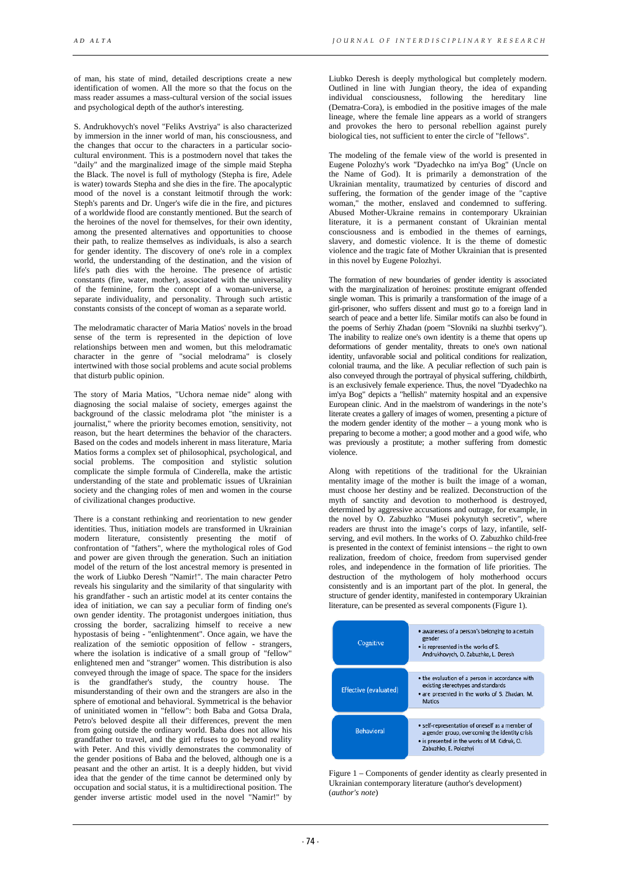of man, his state of mind, detailed descriptions create a new identification of women. All the more so that the focus on the mass reader assumes a mass-cultural version of the social issues and psychological depth of the author's interesting.

S. Andrukhovych's novel "Feliks Avstriya" is also characterized by immersion in the inner world of man, his consciousness, and the changes that occur to the characters in a particular sociocultural environment. This is a postmodern novel that takes the "daily" and the marginalized image of the simple maid Stepha the Black. The novel is full of mythology (Stepha is fire, Adele is water) towards Stepha and she dies in the fire. The apocalyptic mood of the novel is a constant leitmotif through the work: Steph's parents and Dr. Unger's wife die in the fire, and pictures of a worldwide flood are constantly mentioned. But the search of the heroines of the novel for themselves, for their own identity, among the presented alternatives and opportunities to choose their path, to realize themselves as individuals, is also a search for gender identity. The discovery of one's role in a complex world, the understanding of the destination, and the vision of life's path dies with the heroine. The presence of artistic constants (fire, water, mother), associated with the universality of the feminine, form the concept of a woman-universe, a separate individuality, and personality. Through such artistic constants consists of the concept of woman as a separate world.

The melodramatic character of Maria Matios' novels in the broad sense of the term is represented in the depiction of love relationships between men and women, but this melodramatic character in the genre of "social melodrama" is closely intertwined with those social problems and acute social problems that disturb public opinion.

The story of Maria Matios, "Uchora nemae nide" along with diagnosing the social malaise of society, emerges against the background of the classic melodrama plot "the minister is a journalist," where the priority becomes emotion, sensitivity, not reason, but the heart determines the behavior of the characters. Based on the codes and models inherent in mass literature, Maria Matios forms a complex set of philosophical, psychological, and social problems. The composition and stylistic solution complicate the simple formula of Cinderella, make the artistic understanding of the state and problematic issues of Ukrainian society and the changing roles of men and women in the course of civilizational changes productive.

There is a constant rethinking and reorientation to new gender identities. Thus, initiation models are transformed in Ukrainian modern literature, consistently presenting the motif of confrontation of "fathers", where the mythological roles of God and power are given through the generation. Such an initiation model of the return of the lost ancestral memory is presented in the work of Liubko Deresh "Namir!". The main character Petro reveals his singularity and the similarity of that singularity with his grandfather - such an artistic model at its center contains the idea of initiation, we can say a peculiar form of finding one's own gender identity. The protagonist undergoes initiation, thus crossing the border, sacralizing himself to receive a new hypostasis of being - "enlightenment". Once again, we have the realization of the semiotic opposition of fellow - strangers, where the isolation is indicative of a small group of "fellow" enlightened men and "stranger" women. This distribution is also conveyed through the image of space. The space for the insiders is the grandfather's study, the country house. The misunderstanding of their own and the strangers are also in the sphere of emotional and behavioral. Symmetrical is the behavior of uninitiated women in "fellow": both Baba and Gotsa Drala, Petro's beloved despite all their differences, prevent the men from going outside the ordinary world. Baba does not allow his grandfather to travel, and the girl refuses to go beyond reality with Peter. And this vividly demonstrates the commonality of the gender positions of Baba and the beloved, although one is a peasant and the other an artist. It is a deeply hidden, but vivid idea that the gender of the time cannot be determined only by occupation and social status, it is a multidirectional position. The gender inverse artistic model used in the novel "Namir!" by

Liubko Deresh is deeply mythological but completely modern. Outlined in line with Jungian theory, the idea of expanding individual consciousness, following the hereditary line (Dematra-Cora), is embodied in the positive images of the male lineage, where the female line appears as a world of strangers and provokes the hero to personal rebellion against purely biological ties, not sufficient to enter the circle of "fellows".

The modeling of the female view of the world is presented in Eugene Polozhy's work "Dyadechko na im'ya Bog" (Uncle on the Name of God). It is primarily a demonstration of the Ukrainian mentality, traumatized by centuries of discord and suffering, the formation of the gender image of the "captive woman," the mother, enslaved and condemned to suffering. Abused Mother-Ukraine remains in contemporary Ukrainian literature, it is a permanent constant of Ukrainian mental consciousness and is embodied in the themes of earnings, slavery, and domestic violence. It is the theme of domestic violence and the tragic fate of Mother Ukrainian that is presented in this novel by Eugene Polozhyi.

The formation of new boundaries of gender identity is associated with the marginalization of heroines: prostitute emigrant offended single woman. This is primarily a transformation of the image of a girl-prisoner, who suffers dissent and must go to a foreign land in search of peace and a better life. Similar motifs can also be found in the poems of Serhiy Zhadan (poem "Slovniki na sluzhbi tserkvy"). The inability to realize one's own identity is a theme that opens up deformations of gender mentality, threats to one's own national identity, unfavorable social and political conditions for realization, colonial trauma, and the like. A peculiar reflection of such pain is also conveyed through the portrayal of physical suffering, childbirth, is an exclusively female experience. Thus, the novel "Dyadechko na im'ya Bog" depicts a "hellish" maternity hospital and an expensive European clinic. And in the maelstrom of wanderings in the note's literate creates a gallery of images of women, presenting a picture of the modern gender identity of the mother  $-$  a young monk who is preparing to become a mother; a good mother and a good wife, who was previously a prostitute: a mother suffering from domestic violence.

Along with repetitions of the traditional for the Ukrainian mentality image of the mother is built the image of a woman, must choose her destiny and be realized. Deconstruction of the myth of sanctity and devotion to motherhood is destroyed, determined by aggressive accusations and outrage, for example, in the novel by O. Zabuzhko "Musei pokynutyh secretiv", where readers are thrust into the image's corps of lazy, infantile, selfserving, and evil mothers. In the works of O. Zabuzhko child-free is presented in the context of feminist intensions – the right to own realization, freedom of choice, freedom from supervised gender roles, and independence in the formation of life priorities. The destruction of the mythologem of holy motherhood occurs consistently and is an important part of the plot. In general, the structure of gender identity, manifested in contemporary Ukrainian literature, can be presented as several components (Figure 1).



Figure 1 – Components of gender identity as clearly presented in Ukrainian contemporary literature (author's development) (*author's note*)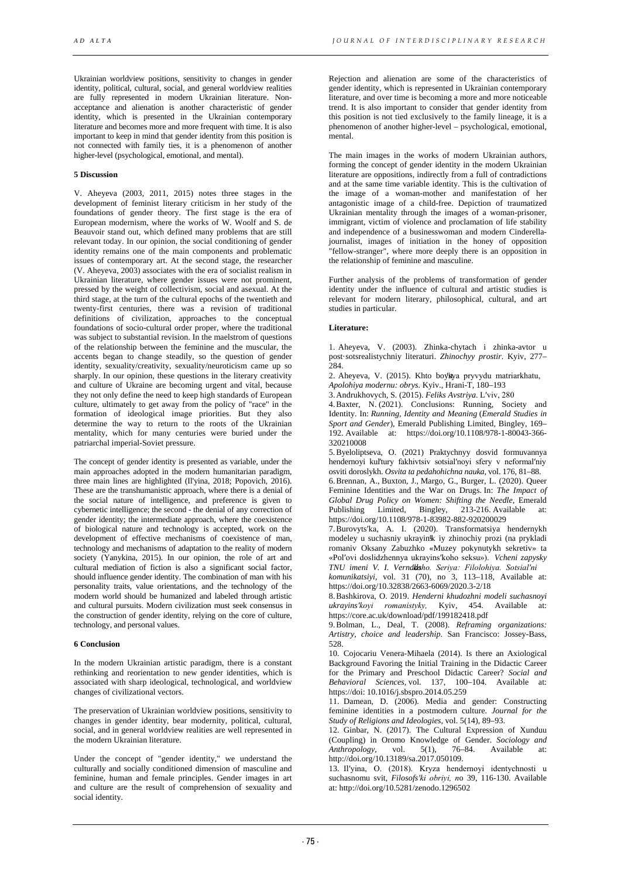Ukrainian worldview positions, sensitivity to changes in gender identity, political, cultural, social, and general worldview realities are fully represented in modern Ukrainian literature. Nonacceptance and alienation is another characteristic of gender identity, which is presented in the Ukrainian contemporary literature and becomes more and more frequent with time. It is also important to keep in mind that gender identity from this position is not connected with family ties, it is a phenomenon of another higher-level (psychological, emotional, and mental).

## **5 Discussion**

V. Aheyeva (2003, 2011, 2015) notes three stages in the development of feminist literary criticism in her study of the foundations of gender theory. The first stage is the era of European modernism, where the works of W. Woolf and S. de Beauvoir stand out, which defined many problems that are still relevant today. In our opinion, the social conditioning of gender identity remains one of the main components and problematic issues of contemporary art. At the second stage, the researcher (V. Aheyeva, 2003) associates with the era of socialist realism in Ukrainian literature, where gender issues were not prominent, pressed by the weight of collectivism, social and asexual. At the third stage, at the turn of the cultural epochs of the twentieth and twenty-first centuries, there was a revision of traditional definitions of civilization, approaches to the conceptual foundations of socio-cultural order proper, where the traditional was subject to substantial revision. In the maelstrom of questions of the relationship between the feminine and the muscular, the accents began to change steadily, so the question of gender identity, sexuality/creativity, sexuality/neuroticism came up so sharply. In our opinion, these questions in the literary creativity and culture of Ukraine are becoming urgent and vital, because they not only define the need to keep high standards of European culture, ultimately to get away from the policy of "race" in the formation of ideological image priorities. But they also determine the way to return to the roots of the Ukrainian mentality, which for many centuries were buried under the patriarchal imperial-Soviet pressure.

The concept of gender identity is presented as variable, under the main approaches adopted in the modern humanitarian paradigm, three main lines are highlighted (Il'yina, 2018; Popovich, 2016). These are the transhumanistic approach, where there is a denial of the social nature of intelligence, and preference is given to cybernetic intelligence; the second - the denial of any correction of gender identity; the intermediate approach, where the coexistence of biological nature and technology is accepted, work on the development of effective mechanisms of coexistence of man, technology and mechanisms of adaptation to the reality of modern society (Yanykina, 2015). In our opinion, the role of art and cultural mediation of fiction is also a significant social factor, should influence gender identity. The combination of man with his personality traits, value orientations, and the technology of the modern world should be humanized and labeled through artistic and cultural pursuits. Modern civilization must seek consensus in the construction of gender identity, relying on the core of culture, technology, and personal values.

## **6 Conclusion**

In the modern Ukrainian artistic paradigm, there is a constant rethinking and reorientation to new gender identities, which is associated with sharp ideological, technological, and worldview changes of civilizational vectors.

The preservation of Ukrainian worldview positions, sensitivity to changes in gender identity, bear modernity, political, cultural, social, and in general worldview realities are well represented in the modern Ukrainian literature.

Under the concept of "gender identity," we understand the culturally and socially conditioned dimension of masculine and feminine, human and female principles. Gender images in art and culture are the result of comprehension of sexuality and social identity.

Rejection and alienation are some of the characteristics of gender identity, which is represented in Ukrainian contemporary literature, and over time is becoming a more and more noticeable trend. It is also important to consider that gender identity from this position is not tied exclusively to the family lineage, it is a phenomenon of another higher-level – psychological, emotional, mental.

The main images in the works of modern Ukrainian authors, forming the concept of gender identity in the modern Ukrainian literature are oppositions, indirectly from a full of contradictions and at the same time variable identity. This is the cultivation of the image of a woman-mother and manifestation of her antagonistic image of a child-free. Depiction of traumatized Ukrainian mentality through the images of a woman-prisoner, immigrant, victim of violence and proclamation of life stability and independence of a businesswoman and modern Cinderellajournalist, images of initiation in the honey of opposition "fellow-stranger", where more deeply there is an opposition in the relationship of feminine and masculine.

Further analysis of the problems of transformation of gender identity under the influence of cultural and artistic studies is relevant for modern literary, philosophical, cultural, and art studies in particular.

## **Literature:**

1. Aheyeva, V. (2003). Zhinka-chytach i zhinka-avtor u post·sotsrealistychniy literaturi. *Zhinochyy prostir*. Kyiv, 277–  $284.$ 

2. Aheyeva, V. (2015). Khto boyitya pryvydu matriarkhatu,

*Apolohiya modernu: obrys.* Kyiv., Hrani-T, 180–193

3.Andrukhovych, S. (2015). *Feliks Avstriya*. Lʹviv, 280

4[.Baxter, N.](https://www.emerald.com/insight/search?q=Neil%20Baxter) (2021). Conclusions: Running, Society and Identity. In: *Running, Identity and Meaning* (*Emerald Studies in Sport and Gender*), Emerald Publishing Limited, Bingley, 169– 192. Available at: [https://doi.org/10.1108/978-1-80043-366-](https://doi.org/10.1108/978-1-80043-366-320210008) [320210008](https://doi.org/10.1108/978-1-80043-366-320210008)

5.Byeloliptseva, O. (2021) Praktychnyy dosvid formuvannya hendernoyi kul'tury fakhivtsiv sotsial'noyi sfery v neformal'niy osviti doroslykh. *Osvita ta pedahohichna nauka*, vol. 176, 81–88.

6[.Brennan, A.,](https://www.emerald.com/insight/search?q=Ailish%20Brennan) [Buxton, J.,](https://www.emerald.com/insight/search?q=Julia%20Buxton) [Margo, G.,](https://www.emerald.com/insight/search?q=Giavana%20Margo) [Burger, L.](https://www.emerald.com/insight/search?q=Lona%20Burger) (2020). Queer Feminine Identities and the War on Drugs. In: *The Impact of Global Drug Policy on Women: Shifting the Needle*, Emerald  $213-216$  Available at: <https://doi.org/10.1108/978-1-83982-882-920200029>

7.Burovytsʹka, A. I. (2020). Transformatsiya hendernykh modeley u suchasniy ukrayinsk iy zhinochiy prozi (na prykladi romaniv Oksany Zabuzhko «Muzey pokynutykh sekretiv» ta «Polʹovi doslidzhennya ukrayinsʹkoho seksu»). *Vcheni zapysky TNU imeni V. I. Vernads ʹkoho. Seriya: Filolohiya. Sotsialʹni* 

*komunikatsiyi*, vol. 31 (70), no 3, 113–118, Available at: https://doi.org/10.32838/2663-6069/2020.3-2/18

8.Bashkirova, O. 2019. *Henderni khudozhni modeli suchasnoyi ukrayinsʹkoyi romanistyky,* Kyiv, 454. Available at: https://core.ac.uk/download/pdf/199182418.pdf

9.Bolman, L., Deal, T. (2008). *Reframing organizations: Artistry, choice and leadership*. San Francisco: Jossey-Bass, 528.

10. [Cojocariu Venera-Mihaela](https://www.researchgate.net/profile/Cojocariu-Venera-Mihaela) (2014). Is there an Axiological Background Favoring the Initial Training in the Didactic Career for the Primary and Preschool Didactic Career? *[Social and](https://www.researchgate.net/journal/Procedia-Social-and-Behavioral-Sciences-1877-0428) [Behavioral Sciences,](https://www.researchgate.net/journal/Procedia-Social-and-Behavioral-Sciences-1877-0428)* vol. 137, 100–104. Available at: https://doi[: 10.1016/j.sbspro.2014.05.259](https://www.researchgate.net/deref/http%3A%2F%2Fdx.doi.org%2F10.1016%2Fj.sbspro.2014.05.259)

11. Damean, D. (2006). Media and gender: Constructing feminine identities in a postmodern culture. *[Journal for the](https://www.researchgate.net/journal/Journal-for-the-Study-of-Religions-and-Ideologies-1583-0039)  Study [of Religions and Ideologies,](https://www.researchgate.net/journal/Journal-for-the-Study-of-Religions-and-Ideologies-1583-0039)* vol. 5(14), 89–93.

12. Ginbar, N. (2017). The Cultural Expression of Xunduu (Coupling) in Oromo Knowledge of Gender. *Sociology and Anthropology,* vol. 5(1), 76–84. Available at: http://doi.org/10.13189/sa.2017.050109.

13. Ilʹyina, O. (2018). Kryza hendernoyi identychnosti u suchasnomu svit, *Filosofsʹki obriyi, n*o 39, 116-130. Available at: http://doi.org/10.5281/zenodo.1296502